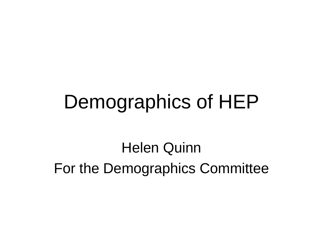#### Demographics of HEP

Helen Quinn For the Demographics Committee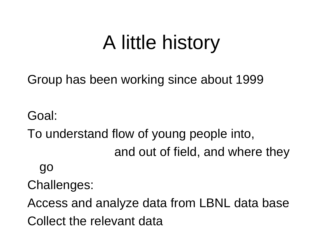# A little history

Group has been working since about 1999

Goal: To understand flow of young people into, and out of field, and where they go Challenges: Access and analyze data from LBNL data base Collect the relevant data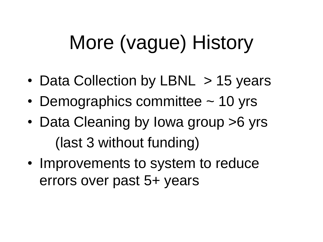# More (vague) History

- Data Collection by LBNL > 15 years
- Demographics committee ~ 10 yrs
- Data Cleaning by Iowa group > 6 yrs (last 3 without funding)
- Improvements to system to reduce errors over past 5+ years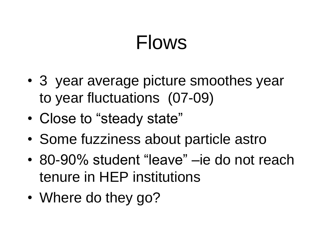### Flows

- 3 year average picture smoothes year to year fluctuations (07-09)
- Close to "steady state"
- Some fuzziness about particle astro
- 80-90% student "leave" –ie do not reach tenure in HEP institutions
- Where do they go?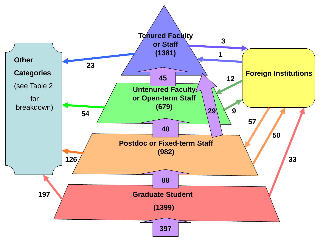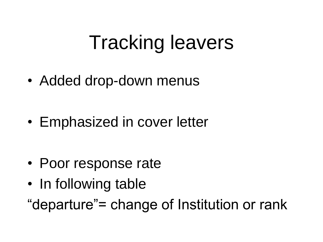## Tracking leavers

• Added drop-down menus

• Emphasized in cover letter

- Poor response rate
- In following table
- "departure"= change of Institution or rank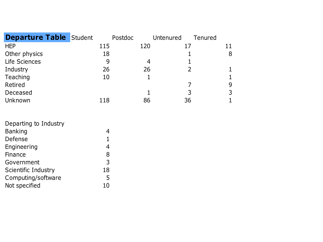| <b>Departure Table Student</b> |     | Postdoc | Untenured | Tenured |
|--------------------------------|-----|---------|-----------|---------|
| <b>HEP</b>                     | 115 | 120     | 17        |         |
| Other physics                  | 18  |         |           | 8       |
| Life Sciences                  | 9   |         |           |         |
| Industry                       | 26  | 26      |           |         |
| Teaching                       | 10  |         |           |         |
| Retired                        |     |         |           | 9       |
| Deceased                       |     |         | 3         | 3       |
| Unknown                        | 118 | 86      | 36        |         |

| Departing to Industry      |    |
|----------------------------|----|
| <b>Banking</b>             |    |
| Defense                    | 1  |
| Engineering                | 4  |
| Finance                    | 8  |
| Government                 | 3  |
| <b>Scientific Industry</b> | 18 |
| Computing/software         | 5  |
| Not specified              | 10 |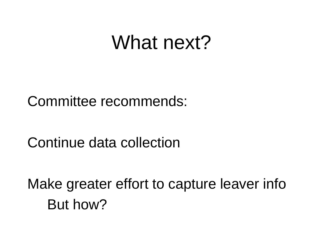#### What next?

Committee recommends:

Continue data collection

Make greater effort to capture leaver info But how?